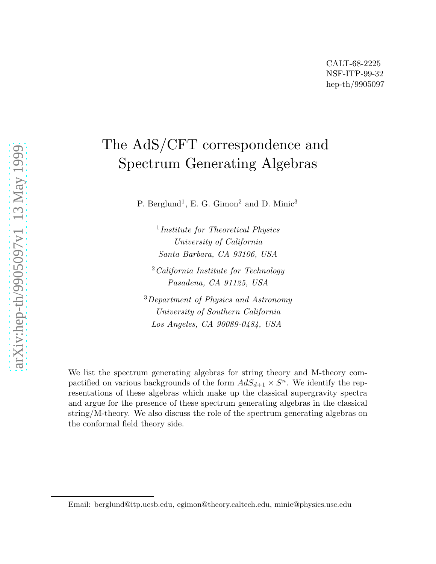# The AdS/CFT correspondence and Spectrum Generating Algebras

P. Berglund<sup>1</sup>, E. G. Gimon<sup>2</sup> and D. Minic<sup>3</sup>

<sup>1</sup>Institute for Theoretical Physics University of California Santa Barbara, CA 93106, USA

 $2$ California Institute for Technology Pasadena, CA 91125, USA

<sup>3</sup>Department of Physics and Astronomy University of Southern California Los Angeles, CA 90089-0484, USA

We list the spectrum generating algebras for string theory and M-theory compactified on various backgrounds of the form  $AdS_{d+1} \times S^n$ . We identify the representations of these algebras which make up the classical supergravity spectra and argue for the presence of these spectrum generating algebras in the classical string/M-theory. We also discuss the role of the spectrum generating algebras on the conformal field theory side.

Email: berglund@itp.ucsb.edu, egimon@theory.caltech.edu, minic@physics.usc.edu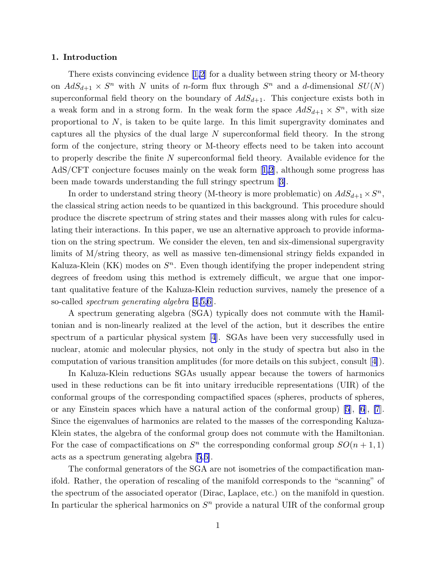### 1. Introduction

There exists convincing evidence[[1,2](#page-15-0)] for a duality between string theory or M-theory on  $AdS_{d+1} \times S^n$  with N units of n-form flux through  $S^n$  and a d-dimensional  $SU(N)$ superconformal field theory on the boundary of  $AdS_{d+1}$ . This conjecture exists both in a weak form and in a strong form. In the weak form the space  $AdS_{d+1} \times S^n$ , with size proportional to  $N$ , is taken to be quite large. In this limit supergravity dominates and captures all the physics of the dual large N superconformal field theory. In the strong form of the conjecture, string theory or M-theory effects need to be taken into account to properly describe the finite  $N$  superconformal field theory. Available evidence for the AdS/CFT conjecture focuses mainly on the weak form[[1,2](#page-15-0)], although some progress has been made towards understanding the full stringy spectrum[[3\]](#page-15-0).

In order to understand string theory (M-theory is more problematic) on  $AdS_{d+1} \times S^n$ , the classical string action needs to be quantized in this background. This procedure should produce the discrete spectrum of string states and their masses along with rules for calculating their interactions. In this paper, we use an alternative approach to provide information on the string spectrum. We consider the eleven, ten and six-dimensional supergravity limits of M/string theory, as well as massive ten-dimensional stringy fields expanded in Kaluza-Klein (KK) modes on  $S<sup>n</sup>$ . Even though identifying the proper independent string degrees of freedom using this method is extremely difficult, we argue that one important qualitative feature of the Kaluza-Klein reduction survives, namely the presence of a so-called spectrum generating algebra [\[4](#page-15-0),[5,6](#page-15-0)].

A spectrum generating algebra (SGA) typically does not commute with the Hamiltonian and is non-linearly realized at the level of the action, but it describes the entire spectrum of a particular physical system [\[4](#page-15-0)]. SGAs have been very successfully used in nuclear, atomic and molecular physics, not only in the study of spectra but also in the computation of various transition amplitudes (for more details on this subject, consult[[4\]](#page-15-0)).

In Kaluza-Klein reductions SGAs usually appear because the towers of harmonics used in these reductions can be fit into unitary irreducible representations (UIR) of the conformal groups of the corresponding compactified spaces (spheres, products of spheres, or any Einstein spaces which have a natural action of the conformal group) [\[5](#page-15-0)], [\[6](#page-15-0)], [\[7](#page-15-0)]. Since the eigenvalues of harmonics are related to the masses of the corresponding Kaluza-Klein states, the algebra of the conformal group does not commute with the Hamiltonian. For the case of compactifications on  $S<sup>n</sup>$  the corresponding conformal group  $SO(n + 1, 1)$ acts as a spectrum generating algebra [\[5](#page-15-0),[6\]](#page-15-0).

The conformal generators of the SGA are not isometries of the compactification manifold. Rather, the operation of rescaling of the manifold corresponds to the "scanning" of the spectrum of the associated operator (Dirac, Laplace, etc.) on the manifold in question. In particular the spherical harmonics on  $S<sup>n</sup>$  provide a natural UIR of the conformal group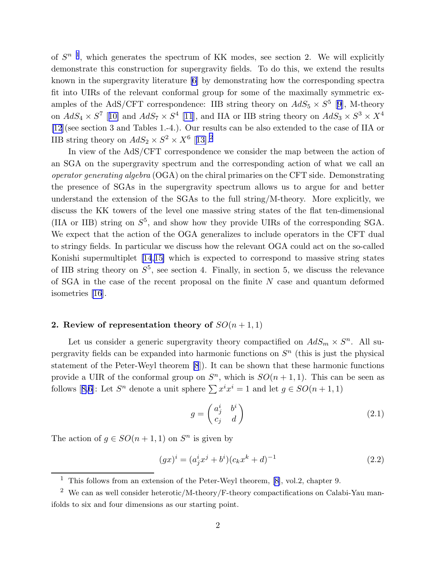of  $S^{n-1}$ , which generates the spectrum of KK modes, see section 2. We will explicitly demonstrate this construction for supergravity fields. To do this, we extend the results known in the supergravity literature [\[6](#page-15-0)] by demonstrating how the corresponding spectra fit into UIRs of the relevant conformal group for some of the maximally symmetric examples of the AdS/CFT correspondence: IIB string theory on  $AdS_5 \times S^5$  [[9](#page-15-0)], M-theory on  $AdS_4 \times S^7$  [[10\]](#page-15-0) and  $AdS_7 \times S^4$  [\[11](#page-15-0)], and IIA or IIB string theory on  $AdS_3 \times S^3 \times X^4$ [\[12](#page-15-0)](see section 3 and Tables 1.-4.). Our results can be also extended to the case of IIA or IIB string theory on  $AdS_2 \times S^2 \times X^6$  [[13\]](#page-15-0).<sup>2</sup>

In view of the AdS/CFT correspondence we consider the map between the action of an SGA on the supergravity spectrum and the corresponding action of what we call an operator generating algebra (OGA) on the chiral primaries on the CFT side. Demonstrating the presence of SGAs in the supergravity spectrum allows us to argue for and better understand the extension of the SGAs to the full string/M-theory. More explicitly, we discuss the KK towers of the level one massive string states of the flat ten-dimensional (IIA or IIB) string on  $S^5$ , and show how they provide UIRs of the corresponding SGA. We expect that the action of the OGA generalizes to include operators in the CFT dual to stringy fields. In particular we discuss how the relevant OGA could act on the so-called Konishi supermultiplet [\[14](#page-15-0),[15\]](#page-15-0) which is expected to correspond to massive string states of IIB string theory on  $S^5$ , see section 4. Finally, in section 5, we discuss the relevance of SGA in the case of the recent proposal on the finite  $N$  case and quantum deformed isometries [\[16](#page-15-0)].

### 2. Review of representation theory of  $SO(n+1,1)$

Let us consider a generic supergravity theory compactified on  $AdS_m \times S^n$ . All supergravity fields can be expanded into harmonic functions on  $S<sup>n</sup>$  (this is just the physical statement of the Peter-Weyl theorem [\[8](#page-15-0)]). It can be shown that these harmonic functions provide a UIR of the conformal group on  $S<sup>n</sup>$ , which is  $SO(n + 1, 1)$ . This can be seen as follows[[8,6\]](#page-15-0): Let  $S^n$  denote a unit sphere  $\sum x^i x^i = 1$  and let  $g \in SO(n + 1, 1)$ 

$$
g = \begin{pmatrix} a_j^i & b^i \\ c_j & d \end{pmatrix} \tag{2.1}
$$

The action of  $g \in SO(n+1,1)$  on  $S<sup>n</sup>$  is given by

$$
(gx)^{i} = (a_j^{i}x^{j} + b^{i})(c_kx^{k} + d)^{-1}
$$
\n(2.2)

<sup>&</sup>lt;sup>1</sup>This follows from an extension of the Peter-Weyl theorem, [[8\]](#page-15-0), vol.2, chapter 9.

<sup>&</sup>lt;sup>2</sup> We can as well consider heterotic/M-theory/F-theory compactifications on Calabi-Yau manifolds to six and four dimensions as our starting point.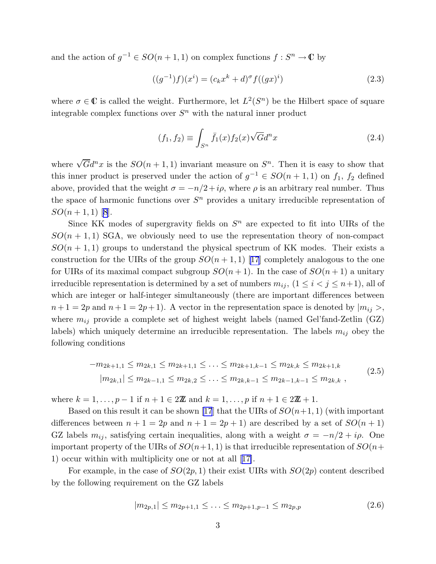and the action of  $g^{-1} \in SO(n + 1, 1)$  on complex functions  $f : S^n \to \mathbb{C}$  by

$$
((g^{-1})f)(x^{i}) = (c_{k}x^{k} + d)^{\sigma} f((gx)^{i})
$$
\n(2.3)

where  $\sigma \in \mathbb{C}$  is called the weight. Furthermore, let  $L^2(S^n)$  be the Hilbert space of square integrable complex functions over  $S<sup>n</sup>$  with the natural inner product

$$
(f_1, f_2) \equiv \int_{S^n} \bar{f}_1(x) f_2(x) \sqrt{G} d^n x \tag{2.4}
$$

where  $\sqrt{G}d^n x$  is the  $SO(n+1,1)$  invariant measure on  $S^n$ . Then it is easy to show that this inner product is preserved under the action of  $g^{-1} \in SO(n + 1, 1)$  on  $f_1$ ,  $f_2$  defined above, provided that the weight  $\sigma = -n/2 + i\rho$ , where  $\rho$  is an arbitrary real number. Thus the space of harmonic functions over  $S<sup>n</sup>$  provides a unitary irreducible representation of  $SO(n+1,1)$  [\[8](#page-15-0)].

Since KK modes of supergravity fields on  $S<sup>n</sup>$  are expected to fit into UIRs of the  $SO(n + 1, 1)$  SGA, we obviously need to use the representation theory of non-compact  $SO(n + 1, 1)$  groups to understand the physical spectrum of KK modes. Their exists a construction for the UIRs of the group  $SO(n+1,1)$  [\[17](#page-16-0)] completely analogous to the one for UIRs of its maximal compact subgroup  $SO(n+1)$ . In the case of  $SO(n+1)$  a unitary irreducible representation is determined by a set of numbers  $m_{ij}$ ,  $(1 \leq i < j \leq n+1)$ , all of which are integer or half-integer simultaneously (there are important differences between  $n+1 = 2p$  and  $n+1 = 2p+1$ . A vector in the representation space is denoted by  $|m_{ij}\rangle$ , where  $m_{ij}$  provide a complete set of highest weight labels (named Gel'fand-Zetlin (GZ) labels) which uniquely determine an irreducible representation. The labels  $m_{ij}$  obey the following conditions

$$
-m_{2k+1,1} \le m_{2k,1} \le m_{2k+1,1} \le \dots \le m_{2k+1,k-1} \le m_{2k,k} \le m_{2k+1,k}
$$
  
\n
$$
|m_{2k,1}| \le m_{2k-1,1} \le m_{2k,2} \le \dots \le m_{2k,k-1} \le m_{2k-1,k-1} \le m_{2k,k},
$$
\n(2.5)

where  $k = 1, ..., p - 1$  if  $n + 1 \in 2\mathbb{Z}$  and  $k = 1, ..., p$  if  $n + 1 \in 2\mathbb{Z} + 1$ .

Based on this result it can be shown [\[17](#page-16-0)] that the UIRs of  $SO(n+1, 1)$  (with important differences between  $n + 1 = 2p$  and  $n + 1 = 2p + 1$  are described by a set of  $SO(n + 1)$ GZ labels  $m_{ij}$ , satisfying certain inequalities, along with a weight  $\sigma = -n/2 + i\rho$ . One important property of the UIRs of  $SO(n+1, 1)$  is that irreducible representation of  $SO(n+1, 1)$ 1) occur within with multiplicity one or not at all[[17\]](#page-16-0).

For example, in the case of  $SO(2p, 1)$  their exist UIRs with  $SO(2p)$  content described by the following requirement on the GZ labels

$$
|m_{2p,1}| \le m_{2p+1,1} \le \ldots \le m_{2p+1,p-1} \le m_{2p,p} \tag{2.6}
$$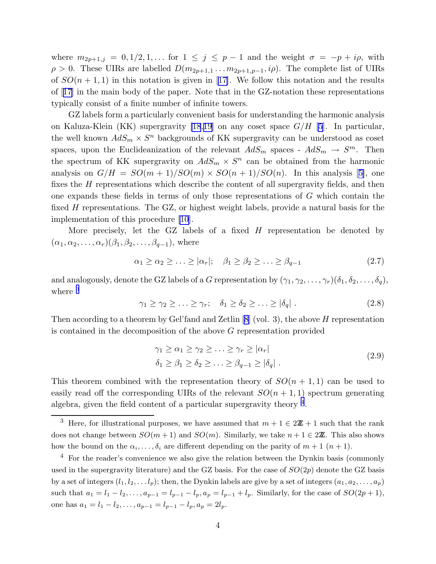<span id="page-4-0"></span>where  $m_{2p+1,j} = 0, 1/2, 1, \ldots$  for  $1 \leq j \leq p-1$  and the weight  $\sigma = -p + i\rho$ , with  $\rho > 0$ . These UIRs are labelled  $D(m_{2p+1,1} \ldots m_{2p+1,p-1}, i\rho)$ . The complete list of UIRs of $SO(n+1,1)$  in this notation is given in [[17\]](#page-16-0). We follow this notation and the results of[[17\]](#page-16-0) in the main body of the paper. Note that in the GZ-notation these representations typically consist of a finite number of infinite towers.

GZ labels form a particularly convenient basis for understanding the harmonic analysis on Kaluza-Klein (KK) supergravity [\[18](#page-16-0),[19\]](#page-16-0) on any coset space  $G/H$  [\[5](#page-15-0)]. In particular, the well known  $AdS_m \times S^n$  backgrounds of KK supergravity can be understood as coset spaces, upon the Euclideanization of the relevant  $AdS_m$  spaces -  $AdS_m \rightarrow S^m$ . Then the spectrum of KK supergravity on  $AdS_m \times S^n$  can be obtained from the harmonic analysison  $G/H = SO(m+1)/SO(m) \times SO(n+1)/SO(n)$ . In this analysis [[5\]](#page-15-0), one fixes the H representations which describe the content of all supergravity fields, and then one expands these fields in terms of only those representations of G which contain the fixed H representations. The GZ, or highest weight labels, provide a natural basis for the implementation of this procedure [\[10](#page-15-0)].

More precisely, let the GZ labels of a fixed  $H$  representation be denoted by  $(\alpha_1, \alpha_2, \ldots, \alpha_r) (\beta_1, \beta_2, \ldots, \beta_{q-1}),$  where

$$
\alpha_1 \ge \alpha_2 \ge \ldots \ge |\alpha_r|; \quad \beta_1 \ge \beta_2 \ge \ldots \ge \beta_{q-1} \tag{2.7}
$$

and analogously, denote the GZ labels of a G representation by  $(\gamma_1, \gamma_2, \ldots, \gamma_r)(\delta_1, \delta_2, \ldots, \delta_q)$ , where  $3$ 

$$
\gamma_1 \geq \gamma_2 \geq \ldots \geq \gamma_r; \quad \delta_1 \geq \delta_2 \geq \ldots \geq |\delta_q| \ . \tag{2.8}
$$

Then according to a theorem by Gel'fand and Zetlin  $[8]$  (vol. 3), the above H representation is contained in the decomposition of the above G representation provided

$$
\gamma_1 \ge \alpha_1 \ge \gamma_2 \ge \ldots \ge \gamma_r \ge |\alpha_r|
$$
  
\n
$$
\delta_1 \ge \beta_1 \ge \delta_2 \ge \ldots \ge \beta_{q-1} \ge |\delta_q|.
$$
\n(2.9)

This theorem combined with the representation theory of  $SO(n + 1, 1)$  can be used to easily read off the corresponding UIRs of the relevant  $SO(n + 1, 1)$  spectrum generating algebra, given the field content of a particular supergravity theory <sup>4</sup>.

<sup>&</sup>lt;sup>3</sup> Here, for illustrational purposes, we have assumed that  $m + 1 \in 2\mathbb{Z} + 1$  such that the rank does not change between  $SO(m+1)$  and  $SO(m)$ . Similarly, we take  $n+1 \in 2\mathbb{Z}$ . This also shows how the bound on the  $\alpha_i, \ldots, \delta_i$  are different depending on the parity of  $m + 1$   $(n + 1)$ .

 $4$  For the reader's convenience we also give the relation between the Dynkin basis (commonly used in the supergravity literature) and the GZ basis. For the case of  $SO(2p)$  denote the GZ basis by a set of integers  $(l_1, l_2, \ldots l_p)$ ; then, the Dynkin labels are give by a set of integers  $(a_1, a_2, \ldots, a_p)$ such that  $a_1 = l_1 - l_2, \ldots, a_{p-1} = l_{p-1} - l_p, a_p = l_{p-1} + l_p$ . Similarly, for the case of  $SO(2p + 1)$ , one has  $a_1 = l_1 - l_2, \ldots, a_{p-1} = l_{p-1} - l_p, a_p = 2l_p.$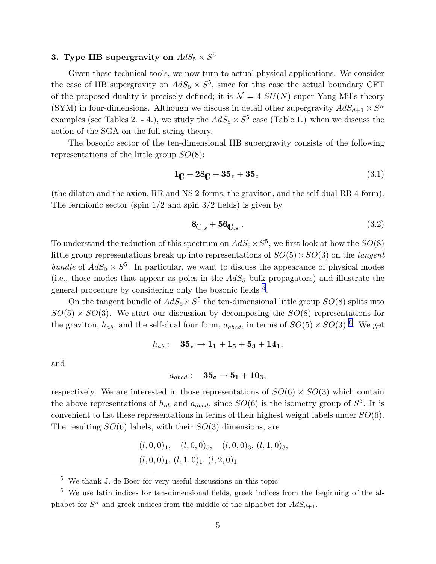## 3. Type IIB supergravity on  $AdS_5 \times S^5$

Given these technical tools, we now turn to actual physical applications. We consider the case of IIB supergravity on  $AdS_5 \times S^5$ , since for this case the actual boundary CFT of the proposed duality is precisely defined; it is  $\mathcal{N} = 4$   $SU(N)$  super Yang-Mills theory (SYM) in four-dimensions. Although we discuss in detail other supergravity  $AdS_{d+1}\times S^n$ examples (see Tables 2. - 4.), we study the  $AdS_5 \times S^5$  case (Table 1.) when we discuss the action of the SGA on the full string theory.

The bosonic sector of the ten-dimensional IIB supergravity consists of the following representations of the little group  $SO(8)$ :

$$
1_{\mathbb{C}} + 28_{\mathbb{C}} + 35_{v} + 35_{c}
$$
 (3.1)

(the dilaton and the axion, RR and NS 2-forms, the graviton, and the self-dual RR 4-form). The fermionic sector (spin  $1/2$  and spin  $3/2$  fields) is given by

$$
\mathbf{8}_{\mathbb{C},s} + \mathbf{56}_{\mathbb{C},s} \tag{3.2}
$$

To understand the reduction of this spectrum on  $AdS_5 \times S^5$ , we first look at how the  $SO(8)$ little group representations break up into representations of  $SO(5) \times SO(3)$  on the tangent bundle of  $AdS_5 \times S^5$ . In particular, we want to discuss the appearance of physical modes (i.e., those modes that appear as poles in the  $AdS_5$  bulk propagators) and illustrate the general procedure by considering only the bosonic fields <sup>5</sup>.

On the tangent bundle of  $AdS_5 \times S^5$  the ten-dimensional little group  $SO(8)$  splits into  $SO(5) \times SO(3)$ . We start our discussion by decomposing the  $SO(8)$  representations for the graviton,  $h_{ab}$ , and the self-dual four form,  $a_{abcd}$ , in terms of  $SO(5) \times SO(3)$ <sup>6</sup>. We get

$$
h_{ab}: \quad {\bf 35_v} \rightarrow {\bf 1_1} + {\bf 1_5} + {\bf 5_3} + {\bf 14_1},
$$

and

$$
a_{abcd}: \quad {\bf 35_c} \rightarrow {\bf 5_1} + {\bf 10_3},
$$

respectively. We are interested in those representations of  $SO(6) \times SO(3)$  which contain the above representations of  $h_{ab}$  and  $a_{abcd}$ , since  $SO(6)$  is the isometry group of  $S^5$ . It is convenient to list these representations in terms of their highest weight labels under SO(6). The resulting  $SO(6)$  labels, with their  $SO(3)$  dimensions, are

> $(l, 0, 0)_1$ ,  $(l, 0, 0)_5$ ,  $(l, 0, 0)_3$ ,  $(l, 1, 0)_3$  $(l, 0, 0)_1$ ,  $(l, 1, 0)_1$ ,  $(l, 2, 0)_1$

 $\frac{5}{5}$  We thank J. de Boer for very useful discussions on this topic.

 $6\,$  We use latin indices for ten-dimensional fields, greek indices from the beginning of the alphabet for  $S^n$  and greek indices from the middle of the alphabet for  $AdS_{d+1}$ .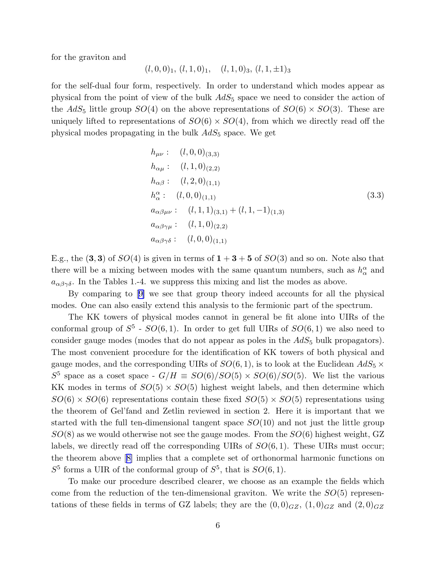<span id="page-6-0"></span>for the graviton and

$$
(l, 0, 0)1, (l, 1, 0)1, (l, 1, 0)3, (l, 1, ±1)3
$$

for the self-dual four form, respectively. In order to understand which modes appear as physical from the point of view of the bulk  $AdS_5$  space we need to consider the action of the  $AdS_5$  little group  $SO(4)$  on the above representations of  $SO(6) \times SO(3)$ . These are uniquely lifted to representations of  $SO(6) \times SO(4)$ , from which we directly read off the physical modes propagating in the bulk  $AdS_5$  space. We get

$$
h_{\mu\nu}: (l, 0, 0)_{(3,3)}
$$
  
\n
$$
h_{\alpha\mu}: (l, 1, 0)_{(2,2)}
$$
  
\n
$$
h_{\alpha\beta}: (l, 2, 0)_{(1,1)}
$$
  
\n
$$
h_{\alpha}^{\alpha}: (l, 0, 0)_{(1,1)}
$$
  
\n
$$
a_{\alpha\beta\mu\nu}: (l, 1, 1)_{(3,1)} + (l, 1, -1)_{(1,3)}
$$
  
\n
$$
a_{\alpha\beta\gamma\mu}: (l, 1, 0)_{(2,2)}
$$
  
\n
$$
a_{\alpha\beta\gamma\delta}: (l, 0, 0)_{(1,1)}
$$
  
\n(3.3)

E.g., the  $(3,3)$  of  $SO(4)$  is given in terms of  $1+3+5$  of  $SO(3)$  and so on. Note also that there will be a mixing between modes with the same quantum numbers, such as  $h^{\alpha}_{\alpha}$  and  $a_{\alpha\beta\gamma\delta}$ . In the Tables 1.-4. we suppress this mixing and list the modes as above.

By comparing to[[9\]](#page-15-0) we see that group theory indeed accounts for all the physical modes. One can also easily extend this analysis to the fermionic part of the spectrum.

The KK towers of physical modes cannot in general be fit alone into UIRs of the conformal group of  $S^5$  -  $SO(6,1)$ . In order to get full UIRs of  $SO(6,1)$  we also need to consider gauge modes (modes that do not appear as poles in the  $AdS_5$  bulk propagators). The most convenient procedure for the identification of KK towers of both physical and gauge modes, and the corresponding UIRs of  $SO(6,1)$ , is to look at the Euclidean  $AdS_5 \times$  $S^5$  space as a coset space -  $G/H \equiv SO(6)/SO(5) \times SO(6)/SO(5)$ . We list the various KK modes in terms of  $SO(5) \times SO(5)$  highest weight labels, and then determine which  $SO(6) \times SO(6)$  representations contain these fixed  $SO(5) \times SO(5)$  representations using the theorem of Gel'fand and Zetlin reviewed in section 2. Here it is important that we started with the full ten-dimensional tangent space  $SO(10)$  and not just the little group  $SO(8)$  as we would otherwise not see the gauge modes. From the  $SO(6)$  highest weight, GZ labels, we directly read off the corresponding UIRs of  $SO(6,1)$ . These UIRs must occur; the theorem above[[8\]](#page-15-0) implies that a complete set of orthonormal harmonic functions on  $S^5$  forms a UIR of the conformal group of  $S^5$ , that is  $SO(6,1)$ .

To make our procedure described clearer, we choose as an example the fields which come from the reduction of the ten-dimensional graviton. We write the  $SO(5)$  representations of these fields in terms of GZ labels; they are the  $(0,0)_{GZ}$ ,  $(1,0)_{GZ}$  and  $(2,0)_{GZ}$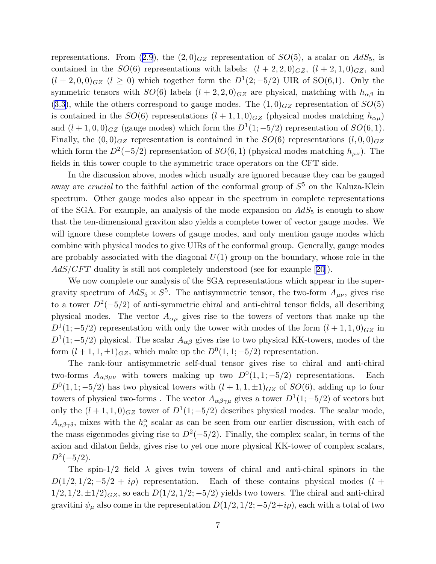representations. From ([2.9](#page-4-0)), the  $(2,0)_{GZ}$  representation of  $SO(5)$ , a scalar on  $AdS_5$ , is contained in the  $SO(6)$  representations with labels:  $(l+2, 2, 0)_{GZ}$ ,  $(l+2, 1, 0)_{GZ}$ , and  $(l + 2, 0, 0)_{GZ}$   $(l \ge 0)$  which together form the  $D^1(2, -5/2)$  UIR of SO(6,1). Only the symmetric tensors with  $SO(6)$  labels  $(l + 2, 2, 0)_{GZ}$  are physical, matching with  $h_{\alpha\beta}$  in  $(3.3)$  $(3.3)$  $(3.3)$ , while the others correspond to gauge modes. The  $(1,0)_{GZ}$  representation of  $SO(5)$ is contained in the  $SO(6)$  representations  $(l + 1, 1, 0)_{GZ}$  (physical modes matching  $h_{\alpha\mu}$ ) and  $(l+1,0,0)_{GZ}$  (gauge modes) which form the  $D^1(1;-5/2)$  representation of  $SO(6,1)$ . Finally, the  $(0,0)_{GZ}$  representation is contained in the  $SO(6)$  representations  $(l,0,0)_{GZ}$ which form the  $D^2(-5/2)$  representation of  $SO(6, 1)$  (physical modes matching  $h_{\mu\nu}$ ). The fields in this tower couple to the symmetric trace operators on the CFT side.

In the discussion above, modes which usually are ignored because they can be gauged away are *crucial* to the faithful action of the conformal group of  $S<sup>5</sup>$  on the Kaluza-Klein spectrum. Other gauge modes also appear in the spectrum in complete representations of the SGA. For example, an analysis of the mode expansion on  $AdS_5$  is enough to show that the ten-dimensional graviton also yields a complete tower of vector gauge modes. We will ignore these complete towers of gauge modes, and only mention gauge modes which combine with physical modes to give UIRs of the conformal group. Generally, gauge modes are probably associated with the diagonal  $U(1)$  group on the boundary, whose role in the AdS/CFT duality is still not completely understood (see for example [\[20](#page-16-0)]).

We now complete our analysis of the SGA representations which appear in the supergravity spectrum of  $AdS_5 \times S^5$ . The antisymmetric tensor, the two-form  $A_{\mu\nu}$ , gives rise to a tower  $D^2(-5/2)$  of anti-symmetric chiral and anti-chiral tensor fields, all describing physical modes. The vector  $A_{\alpha\mu}$  gives rise to the towers of vectors that make up the  $D^1(1; -5/2)$  representation with only the tower with modes of the form  $(l + 1, 1, 0)_{GZ}$  in  $D^1(1, -5/2)$  physical. The scalar  $A_{\alpha\beta}$  gives rise to two physical KK-towers, modes of the form  $(l + 1, 1, \pm 1)_{GZ}$ , which make up the  $D^{0}(1, 1; -5/2)$  representation.

The rank-four antisymmetric self-dual tensor gives rise to chiral and anti-chiral two-forms  $A_{\alpha\beta\mu\nu}$  with towers making up two  $D^0(1,1; -5/2)$  representations. Each  $D^{0}(1,1; -5/2)$  has two physical towers with  $(l + 1, 1, \pm 1)_{GZ}$  of  $SO(6)$ , adding up to four towers of physical two-forms. The vector  $A_{\alpha\beta\gamma\mu}$  gives a tower  $D^1(1;-5/2)$  of vectors but only the  $(l + 1, 1, 0)_{GZ}$  tower of  $D^1(1, -5/2)$  describes physical modes. The scalar mode,  $A_{\alpha\beta\gamma\delta}$ , mixes with the  $h^{\alpha}_{\alpha}$  scalar as can be seen from our earlier discussion, with each of the mass eigenmodes giving rise to  $D^2(-5/2)$ . Finally, the complex scalar, in terms of the axion and dilaton fields, gives rise to yet one more physical KK-tower of complex scalars,  $D^2(-5/2)$ .

The spin-1/2 field  $\lambda$  gives twin towers of chiral and anti-chiral spinors in the  $D(1/2, 1/2; -5/2 + i\rho)$  representation. Each of these contains physical modes  $(l +$  $1/2$ ,  $1/2$ ,  $\pm 1/2$ ) $_{GZ}$ , so each  $D(1/2, 1/2; -5/2)$  yields two towers. The chiral and anti-chiral gravitini  $\psi_{\mu}$  also come in the representation  $D(1/2, 1/2; -5/2+i\rho)$ , each with a total of two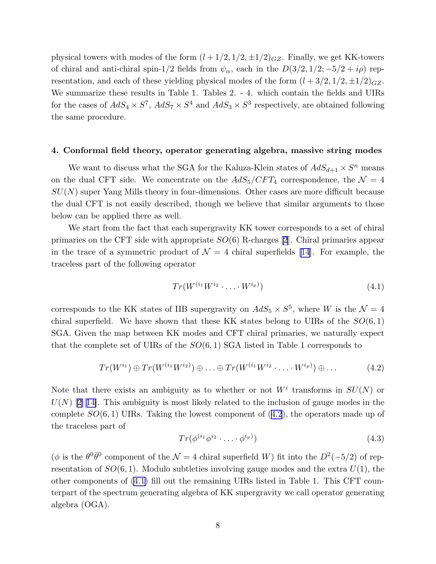physical towers with modes of the form  $(l + 1/2, 1/2, \pm 1/2)_{GZ}$ . Finally, we get KK-towers of chiral and anti-chiral spin-1/2 fields from  $\psi_{\alpha}$ , each in the  $D(3/2, 1/2; -5/2 + i\rho)$  representation, and each of these yielding physical modes of the form  $(l + 3/2, 1/2, \pm 1/2)_{GZ}$ . We summarize these results in Table 1. Tables 2. - 4. which contain the fields and UIRs for the cases of  $AdS_4 \times S^7$ ,  $AdS_7 \times S^4$  and  $AdS_3 \times S^3$  respectively, are obtained following the same procedure.

#### 4. Conformal field theory, operator generating algebra, massive string modes

We want to discuss what the SGA for the Kaluza-Klein states of  $AdS_{d+1} \times S^n$  means on the dual CFT side. We concentrate on the  $AdS_5/CFT_4$  correspondence, the  $\mathcal{N}=4$  $SU(N)$  super Yang Mills theory in four-dimensions. Other cases are more difficult because the dual CFT is not easily described, though we believe that similar arguments to those below can be applied there as well.

We start from the fact that each supergravity KK tower corresponds to a set of chiral primaries on the CFT side with appropriate  $SO(6)$  R-charges [\[2](#page-15-0)]. Chiral primaries appear inthe trace of a symmetric product of  $\mathcal{N} = 4$  chiral superfields [[14](#page-15-0)]. For example, the traceless part of the following operator

$$
Tr(W^{(i_1}W^{i_2}\cdot\ldots\cdot W^{i_p)})
$$
\n
$$
(4.1)
$$

corresponds to the KK states of IIB supergravity on  $AdS_5 \times S^5$ , where W is the  $\mathcal{N} = 4$ chiral superfield. We have shown that these KK states belong to UIRs of the  $SO(6,1)$ SGA. Given the map between KK modes and CFT chiral primaries, we naturally expect that the complete set of UIRs of the  $SO(6, 1)$  SGA listed in Table 1 corresponds to

$$
Tr(W^{i_1}) \oplus Tr(W^{(i_1}W^{i_2)}) \oplus \ldots \oplus Tr(W^{(i_1}W^{i_2}\cdot\ldots\cdot W^{i_p)}) \oplus \ldots
$$
 (4.2)

Note that there exists an ambiguity as to whether or not  $W^i$  transforms in  $SU(N)$  or  $U(N)$ [[2\]](#page-15-0)[[14\]](#page-15-0). This ambiguity is most likely related to the inclusion of gauge modes in the complete  $SO(6,1)$  UIRs. Taking the lowest component of  $(4.2)$ , the operators made up of the traceless part of

$$
Tr(\phi^{(i_1}\phi^{i_2}\cdot\ldots\cdot\phi^{i_p)})
$$
\n
$$
(4.3)
$$

( $\phi$  is the  $\theta^0 \bar{\theta}^0$  component of the  $\mathcal{N} = 4$  chiral superfield W) fit into the  $D^2(-5/2)$  of representation of  $SO(6,1)$ . Modulo subtleties involving gauge modes and the extra  $U(1)$ , the other components of (4.1) fill out the remaining UIRs listed in Table 1. This CFT counterpart of the spectrum generating algebra of KK supergravity we call operator generating algebra (OGA).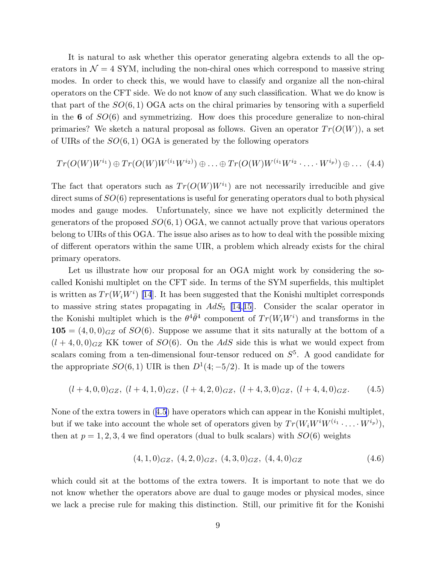It is natural to ask whether this operator generating algebra extends to all the operators in  $\mathcal{N} = 4$  SYM, including the non-chiral ones which correspond to massive string modes. In order to check this, we would have to classify and organize all the non-chiral operators on the CFT side. We do not know of any such classification. What we do know is that part of the  $SO(6, 1)$  OGA acts on the chiral primaries by tensoring with a superfield in the  $6$  of  $SO(6)$  and symmetrizing. How does this procedure generalize to non-chiral primaries? We sketch a natural proposal as follows. Given an operator  $Tr(O(W))$ , a set of UIRs of the  $SO(6,1)$  OGA is generated by the following operators

$$
Tr(O(W)W^{i_1}) \oplus Tr(O(W)W^{(i_1}W^{i_2}) \oplus \ldots \oplus Tr(O(W)W^{(i_1}W^{i_2} \cdot \ldots \cdot W^{i_p})) \oplus \ldots (4.4)
$$

The fact that operators such as  $Tr(O(W)W^{i_1})$  are not necessarily irreducible and give direct sums of  $SO(6)$  representations is useful for generating operators dual to both physical modes and gauge modes. Unfortunately, since we have not explicitly determined the generators of the proposed  $SO(6,1)$  OGA, we cannot actually prove that various operators belong to UIRs of this OGA. The issue also arises as to how to deal with the possible mixing of different operators within the same UIR, a problem which already exists for the chiral primary operators.

Let us illustrate how our proposal for an OGA might work by considering the socalled Konishi multiplet on the CFT side. In terms of the SYM superfields, this multiplet is written as  $Tr(W_iW^i)$  [\[14](#page-15-0)]. It has been suggested that the Konishi multiplet corresponds to massive string states propagating in  $AdS_5$  [\[14](#page-15-0),[15\]](#page-15-0). Consider the scalar operator in the Konishi multiplet which is the  $\theta^4 \bar{\theta}^4$  component of  $Tr(W_i W^i)$  and transforms in the  $105 = (4, 0, 0)_{GZ}$  of  $SO(6)$ . Suppose we assume that it sits naturally at the bottom of a  $(l + 4, 0, 0)_{GZ}$  KK tower of  $SO(6)$ . On the AdS side this is what we would expect from scalars coming from a ten-dimensional four-tensor reduced on  $S<sup>5</sup>$ . A good candidate for the appropriate  $SO(6, 1)$  UIR is then  $D^1(4, -5/2)$ . It is made up of the towers

$$
(l+4,0,0)_{GZ}, (l+4,1,0)_{GZ}, (l+4,2,0)_{GZ}, (l+4,3,0)_{GZ}, (l+4,4,0)_{GZ}.
$$
 (4.5)

None of the extra towers in (4.5) have operators which can appear in the Konishi multiplet, but if we take into account the whole set of operators given by  $Tr(W_i W^i W^{(i_1} \cdot \ldots \cdot W^{i_p)}),$ then at  $p = 1, 2, 3, 4$  we find operators (dual to bulk scalars) with  $SO(6)$  weights

$$
(4,1,0)_{GZ}, (4,2,0)_{GZ}, (4,3,0)_{GZ}, (4,4,0)_{GZ} \t\t(4.6)
$$

which could sit at the bottoms of the extra towers. It is important to note that we do not know whether the operators above are dual to gauge modes or physical modes, since we lack a precise rule for making this distinction. Still, our primitive fit for the Konishi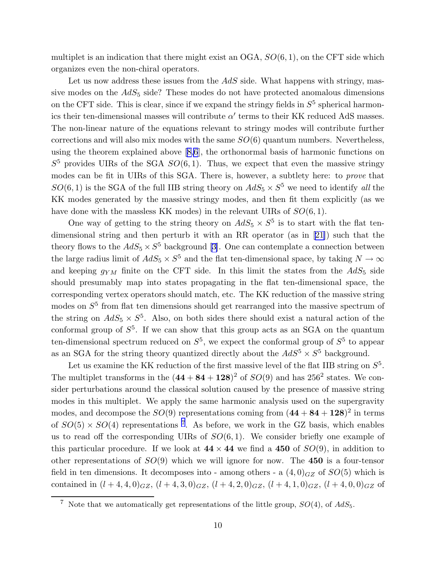multiplet is an indication that there might exist an  $OGA$ ,  $SO(6, 1)$ , on the CFT side which organizes even the non-chiral operators.

Let us now address these issues from the  $AdS$  side. What happens with stringy, massive modes on the  $AdS_5$  side? These modes do not have protected anomalous dimensions on the CFT side. This is clear, since if we expand the stringy fields in  $S<sup>5</sup>$  spherical harmonics their ten-dimensional masses will contribute  $\alpha'$  terms to their KK reduced AdS masses. The non-linear nature of the equations relevant to stringy modes will contribute further corrections and will also mix modes with the same  $SO(6)$  quantum numbers. Nevertheless, using the theorem explained above[[8,6](#page-15-0)], the orthonormal basis of harmonic functions on  $S<sup>5</sup>$  provides UIRs of the SGA  $SO(6,1)$ . Thus, we expect that even the massive stringy modes can be fit in UIRs of this SGA. There is, however, a subtlety here: to prove that  $SO(6, 1)$  is the SGA of the full IIB string theory on  $AdS_5 \times S^5$  we need to identify all the KK modes generated by the massive stringy modes, and then fit them explicitly (as we have done with the massless KK modes) in the relevant UIRs of  $SO(6,1)$ .

One way of getting to the string theory on  $AdS_5 \times S^5$  is to start with the flat tendimensional string and then perturb it with an RR operator (as in[[21\]](#page-16-0)) such that the theoryflows to the  $AdS_5 \times S^5$  background [[3\]](#page-15-0). One can contemplate a connection between the large radius limit of  $AdS_5 \times S^5$  and the flat ten-dimensional space, by taking  $N \to \infty$ and keeping  $g_{YM}$  finite on the CFT side. In this limit the states from the  $AdS_5$  side should presumably map into states propagating in the flat ten-dimensional space, the corresponding vertex operators should match, etc. The KK reduction of the massive string modes on  $S<sup>5</sup>$  from flat ten dimensions should get rearranged into the massive spectrum of the string on  $AdS_5 \times S^5$ . Also, on both sides there should exist a natural action of the conformal group of  $S^5$ . If we can show that this group acts as an SGA on the quantum ten-dimensional spectrum reduced on  $S^5$ , we expect the conformal group of  $S^5$  to appear as an SGA for the string theory quantized directly about the  $AdS^5 \times S^5$  background.

Let us examine the KK reduction of the first massive level of the flat IIB string on  $S^5$ . The multiplet transforms in the  $(44 + 84 + 128)^2$  of  $SO(9)$  and has  $256^2$  states. We consider perturbations around the classical solution caused by the presence of massive string modes in this multiplet. We apply the same harmonic analysis used on the supergravity modes, and decompose the  $SO(9)$  representations coming from  $(44 + 84 + 128)^2$  in terms of  $SO(5) \times SO(4)$  representations<sup>7</sup>. As before, we work in the GZ basis, which enables us to read off the corresponding UIRs of  $SO(6,1)$ . We consider briefly one example of this particular procedure. If we look at  $44 \times 44$  we find a 450 of  $SO(9)$ , in addition to other representations of  $SO(9)$  which we will ignore for now. The **450** is a four-tensor field in ten dimensions. It decomposes into - among others - a  $(4,0)_{GZ}$  of  $SO(5)$  which is contained in  $(l + 4, 4, 0)_{GZ}$ ,  $(l + 4, 3, 0)_{GZ}$ ,  $(l + 4, 2, 0)_{GZ}$ ,  $(l + 4, 1, 0)_{GZ}$ ,  $(l + 4, 0, 0)_{GZ}$  of

<sup>&</sup>lt;sup>7</sup> Note that we automatically get representations of the little group,  $SO(4)$ , of  $AdS_5$ .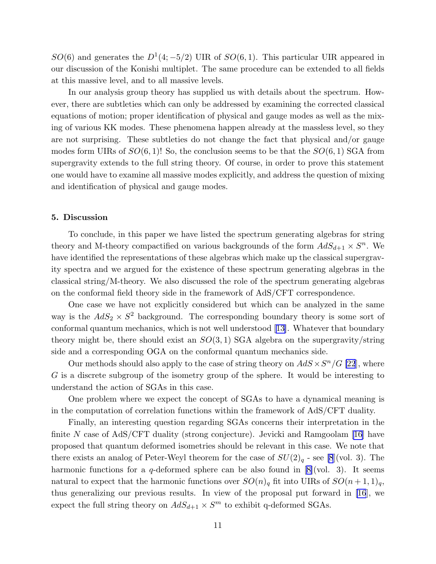$SO(6)$  and generates the  $D^1(4;-5/2)$  UIR of  $SO(6,1)$ . This particular UIR appeared in our discussion of the Konishi multiplet. The same procedure can be extended to all fields at this massive level, and to all massive levels.

In our analysis group theory has supplied us with details about the spectrum. However, there are subtleties which can only be addressed by examining the corrected classical equations of motion; proper identification of physical and gauge modes as well as the mixing of various KK modes. These phenomena happen already at the massless level, so they are not surprising. These subtleties do not change the fact that physical and/or gauge modes form UIRs of  $SO(6,1)!$  So, the conclusion seems to be that the  $SO(6,1)$  SGA from supergravity extends to the full string theory. Of course, in order to prove this statement one would have to examine all massive modes explicitly, and address the question of mixing and identification of physical and gauge modes.

### 5. Discussion

To conclude, in this paper we have listed the spectrum generating algebras for string theory and M-theory compactified on various backgrounds of the form  $AdS_{d+1} \times S^n$ . We have identified the representations of these algebras which make up the classical supergravity spectra and we argued for the existence of these spectrum generating algebras in the classical string/M-theory. We also discussed the role of the spectrum generating algebras on the conformal field theory side in the framework of AdS/CFT correspondence.

One case we have not explicitly considered but which can be analyzed in the same way is the  $AdS_2 \times S^2$  background. The corresponding boundary theory is some sort of conformal quantum mechanics, which is not well understood[[13\]](#page-15-0). Whatever that boundary theory might be, there should exist an  $SO(3,1)$  SGA algebra on the supergravity/string side and a corresponding OGA on the conformal quantum mechanics side.

Our methods should also apply to the case of string theory on  $AdS \times S^n/G$  [\[22](#page-16-0)], where G is a discrete subgroup of the isometry group of the sphere. It would be interesting to understand the action of SGAs in this case.

One problem where we expect the concept of SGAs to have a dynamical meaning is in the computation of correlation functions within the framework of AdS/CFT duality.

Finally, an interesting question regarding SGAs concerns their interpretation in the finiteN case of  $AdS/CFT$  duality (strong conjecture). Jevicki and Ramgoolam [[16](#page-15-0)] have proposed that quantum deformed isometries should be relevant in this case. We note that there exists an analog of Peter-Weyl theorem for the case of  $SU(2)<sub>q</sub>$  - see [\[8](#page-15-0)](vol. 3). The harmonicfunctions for a q-deformed sphere can be also found in  $[8]$  $[8]$ (vol. 3). It seems natural to expect that the harmonic functions over  $SO(n)<sub>q</sub>$  fit into UIRs of  $SO(n+1,1)<sub>q</sub>$ , thus generalizing our previous results. In view of the proposal put forward in [\[16](#page-15-0)], we expect the full string theory on  $AdS_{d+1} \times S^m$  to exhibit q-deformed SGAs.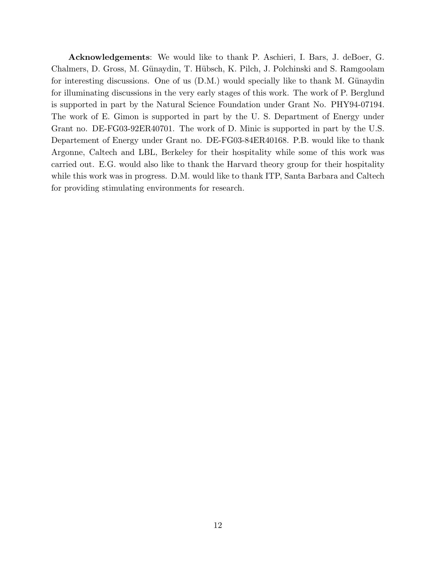Acknowledgements: We would like to thank P. Aschieri, I. Bars, J. deBoer, G. Chalmers, D. Gross, M. Günaydin, T. Hübsch, K. Pilch, J. Polchinski and S. Ramgoolam for interesting discussions. One of us  $(D.M.)$  would specially like to thank M. Günaydin for illuminating discussions in the very early stages of this work. The work of P. Berglund is supported in part by the Natural Science Foundation under Grant No. PHY94-07194. The work of E. Gimon is supported in part by the U. S. Department of Energy under Grant no. DE-FG03-92ER40701. The work of D. Minic is supported in part by the U.S. Departement of Energy under Grant no. DE-FG03-84ER40168. P.B. would like to thank Argonne, Caltech and LBL, Berkeley for their hospitality while some of this work was carried out. E.G. would also like to thank the Harvard theory group for their hospitality while this work was in progress. D.M. would like to thank ITP, Santa Barbara and Caltech for providing stimulating environments for research.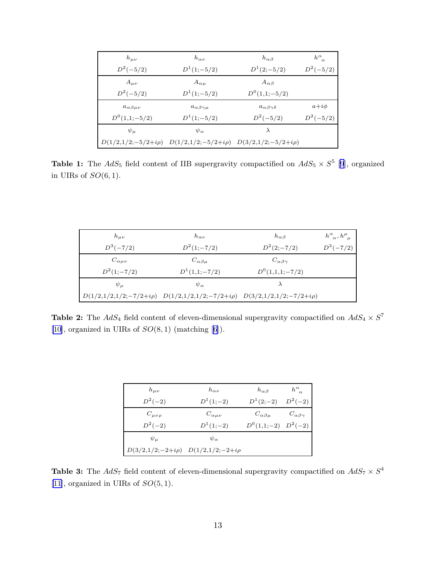| $h_{\mu\nu}$            | $h_{\alpha\nu}$                                                                 | $h_{\alpha\beta}$             | $h^{\alpha}_{\ \alpha}$ |
|-------------------------|---------------------------------------------------------------------------------|-------------------------------|-------------------------|
| $D^2(-5/2)$             | $D^1(1;-5/2)$                                                                   | $D^1(2;-5/2)$                 | $D^2(-5/2)$             |
| $A_{\mu\nu}$            | $A_{\alpha\mu}$                                                                 | $A_{\alpha\beta}$             |                         |
| $D^2(-5/2)$             | $D^1(1;-5/2)$                                                                   | $D^0(1,1;-5/2)$               |                         |
| $a_{\alpha\beta\mu\nu}$ | $a_{\alpha\beta\gamma\mu}$                                                      | $a_{\alpha\beta\gamma\delta}$ | $a+i\phi$               |
| $D^0(1,1;-5/2)$         | $D^1(1;-5/2)$                                                                   | $D^2(-5/2)$                   | $D^2(-5/2)$             |
| $\psi_\mu$              | $\psi_{\alpha}$                                                                 | $\lambda$                     |                         |
|                         | $D(1/2,1/2;-5/2+i\rho) \quad D(1/2,1/2;-5/2+i\rho) \quad D(3/2,1/2;-5/2+i\rho)$ |                               |                         |

**Table 1:** The  $AdS_5$  field content of IIB supergravity compactified on  $AdS_5 \times S^5$  [[9](#page-15-0)], organized in UIRs of  $SO(6,1)$ .

| $h_{\mu\nu}$       | $h_{\alpha\nu}$                                                                     | $h_{\alpha\beta}$       | $h^\alpha_{\ \alpha}, h^\mu_{\ \mu}$ |
|--------------------|-------------------------------------------------------------------------------------|-------------------------|--------------------------------------|
| $D^3(-7/2)$        | $D^2(1;-7/2)$                                                                       | $D^2(2;-7/2)$           | $D^3(-7/2)$                          |
| $C_{\alpha\mu\nu}$ | $C_{\alpha\beta\mu}$                                                                | $C_{\alpha\beta\gamma}$ |                                      |
| $D^2(1;-7/2)$      | $D^1(1,1;-7/2)$                                                                     | $D^{0}(1,1,1;-7/2)$     |                                      |
| $\psi_\mu$         | $\psi_{\alpha}$                                                                     |                         |                                      |
|                    | $D(1/2,1/2,1/2;-7/2+i\rho)$ $D(1/2,1/2,1/2;-7/2+i\rho)$ $D(3/2,1/2,1/2;-7/2+i\rho)$ |                         |                                      |

**Table 2:** The  $AdS_4$  field content of eleven-dimensional supergravity compactified on  $AdS_4 \times S^7$ [\[10](#page-15-0)],organized in UIRs of  $SO(8, 1)$  (matching [[6](#page-15-0)]).

| $h_{\mu\nu}$                                | $h_{\alpha\nu}$    | $h_{\alpha\beta}$       | $h^{\alpha}_{\ \alpha}$ |
|---------------------------------------------|--------------------|-------------------------|-------------------------|
| $D^2(-2)$                                   | $D^{1}(1;-2)$      | $D^1(2;-2)$             | $D^2(-2)$               |
| $C_{\mu\nu\rho}$                            | $C_{\alpha\mu\nu}$ | $C_{\alpha\beta\mu}$    | $C_{\alpha\beta\gamma}$ |
| $D^2(-2)$                                   | $D^1(1;-2)$        | $D^0(1,1;-2)$ $D^2(-2)$ |                         |
| $\psi_\mu$                                  | $\psi_{\alpha}$    |                         |                         |
| $D(3/2,1/2;-2+i\rho)$ $D(1/2,1/2;-2+i\rho)$ |                    |                         |                         |

**Table 3:** The  $AdS_7$  field content of eleven-dimensional supergravity compactified on  $AdS_7 \times S^4$ [\[11](#page-15-0)], organized in UIRs of  $SO(5, 1)$ .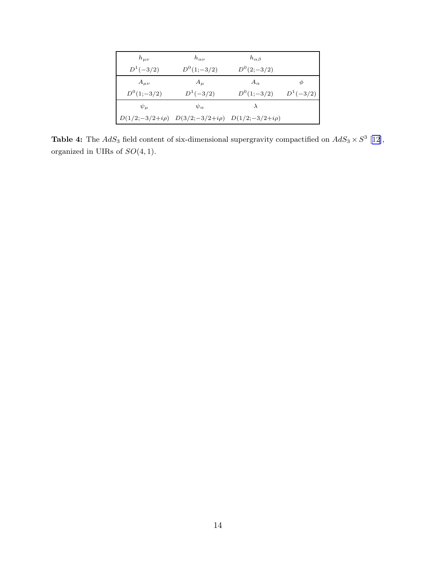| $h_{\mu\nu}$  | $h_{\alpha\nu}$                                             | $h_{\alpha\beta}$ |               |
|---------------|-------------------------------------------------------------|-------------------|---------------|
| $D^{1}(-3/2)$ | $D^0(1;-3/2)$                                               | $D^{0}(2;-3/2)$   |               |
| $A_{\mu\nu}$  | $A_{\mu}$                                                   | $A_{\alpha}$      | Φ             |
| $D^0(1;-3/2)$ | $D^{1}(-3/2)$                                               | $D^{0}(1;-3/2)$   | $D^{1}(-3/2)$ |
| $\psi_\mu$    | $\psi_{\alpha}$                                             | $\lambda$         |               |
|               | $D(1/2;-3/2+i\rho)$ $D(3/2;-3/2+i\rho)$ $D(1/2;-3/2+i\rho)$ |                   |               |

**Table 4:** The  $AdS_3$  field content of six-dimensional supergravity compactified on  $AdS_3 \times S^3$  [[12\]](#page-15-0), organized in UIRs of  $SO(4, 1)$ .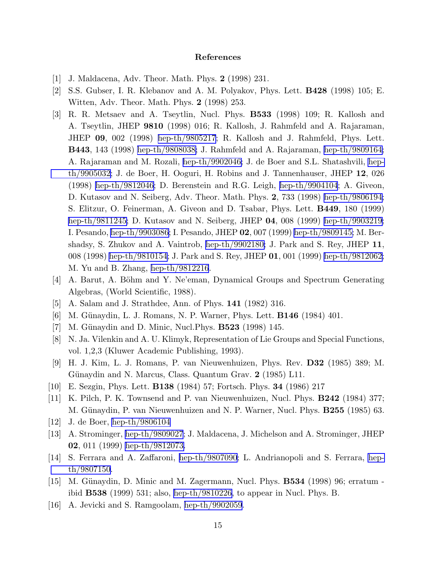### References

- <span id="page-15-0"></span>[1] J. Maldacena, Adv. Theor. Math. Phys. 2 (1998) 231.
- [2] S.S. Gubser, I. R. Klebanov and A. M. Polyakov, Phys. Lett. B428 (1998) 105; E. Witten, Adv. Theor. Math. Phys. 2 (1998) 253.
- [3] R. R. Metsaev and A. Tseytlin, Nucl. Phys. B533 (1998) 109; R. Kallosh and A. Tseytlin, JHEP 9810 (1998) 016; R. Kallosh, J. Rahmfeld and A. Rajaraman, JHEP 09, 002 (1998) [hep-th/9805217](http://arXiv.org/abs/hep-th/9805217); R. Kallosh and J. Rahmfeld, Phys. Lett. B443, 143 (1998) [hep-th/9808038;](http://arXiv.org/abs/hep-th/9808038) J. Rahmfeld and A. Rajaraman, [hep-th/9809164;](http://arXiv.org/abs/hep-th/9809164) A. Rajaraman and M. Rozali, [hep-th/9902046;](http://arXiv.org/abs/hep-th/9902046) J. de Boer and S.L. Shatashvili, [hep](http://arXiv.org/abs/hep-th/9905032)[th/9905032](http://arXiv.org/abs/hep-th/9905032); J. de Boer, H. Ooguri, H. Robins and J. Tannenhauser, JHEP 12, 026 (1998) [hep-th/9812046;](http://arXiv.org/abs/hep-th/9812046) D. Berenstein and R.G. Leigh, [hep-th/9904104](http://arXiv.org/abs/hep-th/9904104); A. Giveon, D. Kutasov and N. Seiberg, Adv. Theor. Math. Phys. 2, 733 (1998) [hep-th/9806194;](http://arXiv.org/abs/hep-th/9806194) S. Elitzur, O. Feinerman, A. Giveon and D. Tsabar, Phys. Lett. B449, 180 (1999) [hep-th/9811245;](http://arXiv.org/abs/hep-th/9811245) D. Kutasov and N. Seiberg, JHEP 04, 008 (1999) [hep-th/9903219;](http://arXiv.org/abs/hep-th/9903219) I. Pesando, [hep-th/9903086](http://arXiv.org/abs/hep-th/9903086); I. Pesando, JHEP 02, 007 (1999) [hep-th/9809145;](http://arXiv.org/abs/hep-th/9809145) M. Bershadsy, S. Zhukov and A. Vaintrob, [hep-th/9902180;](http://arXiv.org/abs/hep-th/9902180) J. Park and S. Rey, JHEP 11, 008 (1998) [hep-th/9810154;](http://arXiv.org/abs/hep-th/9810154) J. Park and S. Rey, JHEP 01, 001 (1999) [hep-th/9812062;](http://arXiv.org/abs/hep-th/9812062) M. Yu and B. Zhang, [hep-th/9812216](http://arXiv.org/abs/hep-th/9812216).
- [4] A. Barut, A. Böhm and Y. Ne'eman, Dynamical Groups and Spectrum Generating Algebras, (World Scientific, 1988).
- [5] A. Salam and J. Strathdee, Ann. of Phys. 141 (1982) 316.
- [6] M. Günaydin, L. J. Romans, N. P. Warner, Phys. Lett. **B146** (1984) 401.
- [7] M. Günaydin and D. Minic, Nucl. Phys. **B523** (1998) 145.
- [8] N. Ja. Vilenkin and A. U. Klimyk, Representation of Lie Groups and Special Functions, vol. 1,2,3 (Kluwer Academic Publishing, 1993).
- [9] H. J. Kim, L. J. Romans, P. van Nieuwenhuizen, Phys. Rev. D32 (1985) 389; M. Günaydin and N. Marcus, Class. Quantum Grav. 2 (1985) L11.
- [10] E. Sezgin, Phys. Lett. B138 (1984) 57; Fortsch. Phys. 34 (1986) 217
- [11] K. Pilch, P. K. Townsend and P. van Nieuwenhuizen, Nucl. Phys. B242 (1984) 377; M. Günaydin, P. van Nieuwenhuizen and N. P. Warner, Nucl. Phys. **B255** (1985) 63.
- [12] J. de Boer, [hep-th/9806104](http://arXiv.org/abs/hep-th/9806104)
- [13] A. Strominger, [hep-th/9809027](http://arXiv.org/abs/hep-th/9809027); J. Maldacena, J. Michelson and A. Strominger, JHEP 02, 011 (1999) [hep-th/9812073.](http://arXiv.org/abs/hep-th/9812073)
- [14] S. Ferrara and A. Zaffaroni, [hep-th/9807090](http://arXiv.org/abs/hep-th/9807090); L. Andrianopoli and S. Ferrara, [hep](http://arXiv.org/abs/hep-th/9807150)[th/9807150](http://arXiv.org/abs/hep-th/9807150).
- [15] M. Günaydin, D. Minic and M. Zagermann, Nucl. Phys. **B534** (1998) 96; erratum ibid B538 (1999) 531; also, [hep-th/9810226,](http://arXiv.org/abs/hep-th/9810226) to appear in Nucl. Phys. B.
- [16] A. Jevicki and S. Ramgoolam, [hep-th/9902059](http://arXiv.org/abs/hep-th/9902059).